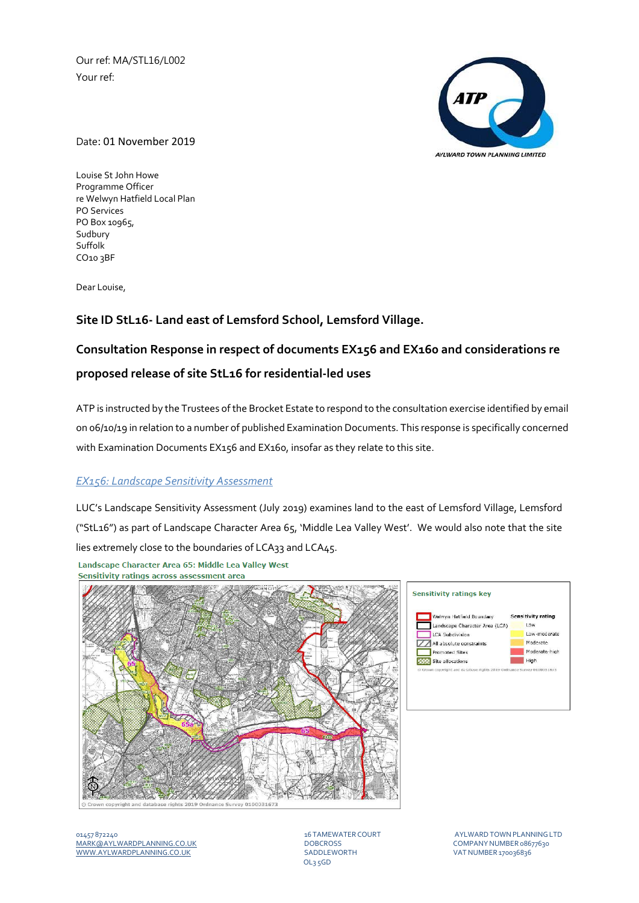Our ref: MA/STL16/L002 Your ref:



Date: 01 November 2019

Louise St John Howe Programme Officer re Welwyn Hatfield Local Plan PO Services PO Box 10965, Sudbury Suffolk CO10 3BF

Dear Louise,

## **Site ID StL16‐ Land east of Lemsford School, Lemsford Village.**

# **Consultation Response in respect of documents EX156 and EX160 and considerations re proposed release of site StL16 for residential‐led uses**

ATP is instructed by the Trustees ofthe Brocket Estate to respond to the consultation exercise identified by email on 06/10/19 in relation to a number of published Examination Documents. This response is specifically concerned with Examination Documents EX156 and EX160, insofar as they relate to this site.

#### *EX156: Landscape Sensitivity Assessment*

LUC's Landscape Sensitivity Assessment (July 2019) examines land to the east of Lemsford Village, Lemsford ("StL16") as part of Landscape Character Area 65, 'Middle Lea Valley West'. We would also note that the site lies extremely close to the boundaries of LCA33 and LCA45.

Landscape Character Area 65: Middle Lea Valley West Sensitivity ratings across assessment area





01457 872240 16 TAMEWATER COURT AYLWARDTOWNPLANNINGLTD MARK@AYLWARDPLANNING.CO.UK DOBCROSS COMPANYNUMBER 08677630 WWW.AYLWARDPLANNING.CO.UK

OL3 5GD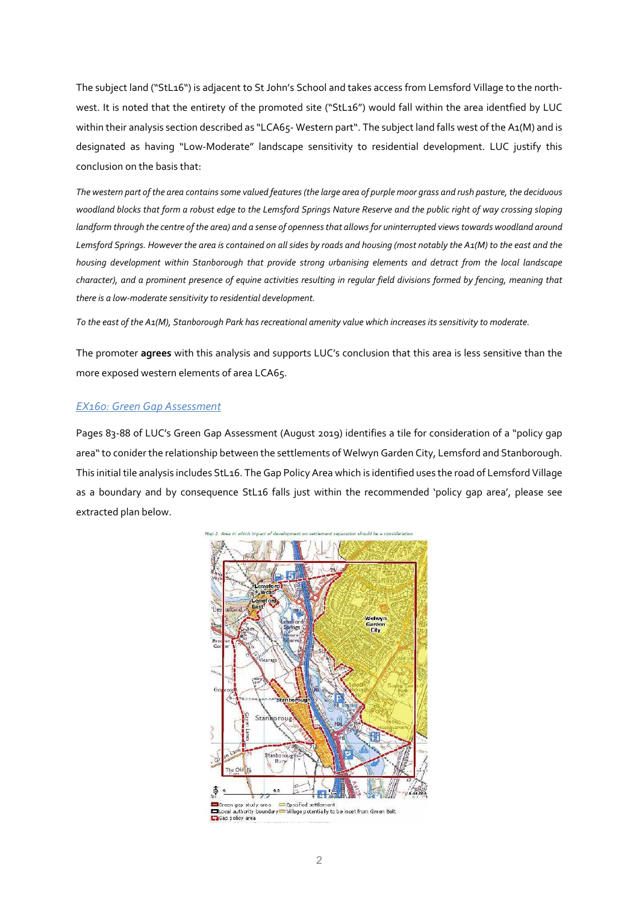The subject land ("StL16") is adjacent to St John's School and takes access from Lemsford Village to the north‐ west. It is noted that the entirety of the promoted site ("StL16") would fall within the area identfied by LUC within their analysis section described as "LCA65-Western part". The subject land falls west of the A1(M) and is designated as having "Low‐Moderate" landscape sensitivity to residential development. LUC justify this conclusion on the basis that:

The western part of the area contains some valued features (the large area of purple moor grass and rush pasture, the deciduous woodland blocks that form a robust edge to the Lemsford Springs Nature Reserve and the public right of way crossing sloping landform through the centre of the area) and a sense of openness that allows for uninterrupted views towards woodland around Lemsford Springs. However the area is contained on all sides by roads and housing (most notably the A1(M) to the east and the *housing development within Stanborough that provide strong urbanising elements and detract from the local landscape* character), and a prominent presence of equine activities resulting in regular field divisions formed by fencing, meaning that *there is a low‐moderate sensitivity to residential development.* 

To the east of the A1(M), Stanborough Park has recreational amenity value which increases its sensitivity to moderate.

The promoter **agrees** with this analysis and supports LUC's conclusion that this area is less sensitive than the more exposed western elements of area LCA65.

#### *EX160: Green Gap Assessment*

Pages 83‐88 of LUC's Green Gap Assessment (August 2019) identifies a tile for consideration of a "policy gap area"to conider the relationship between the settlements of Welwyn Garden City, Lemsford and Stanborough. This initial tile analysis includes StL16. The Gap Policy Area which is identified uses the road of Lemsford Village as a boundary and by consequence StL16 falls just within the recommended 'policy gap area', please see extracted plan below.

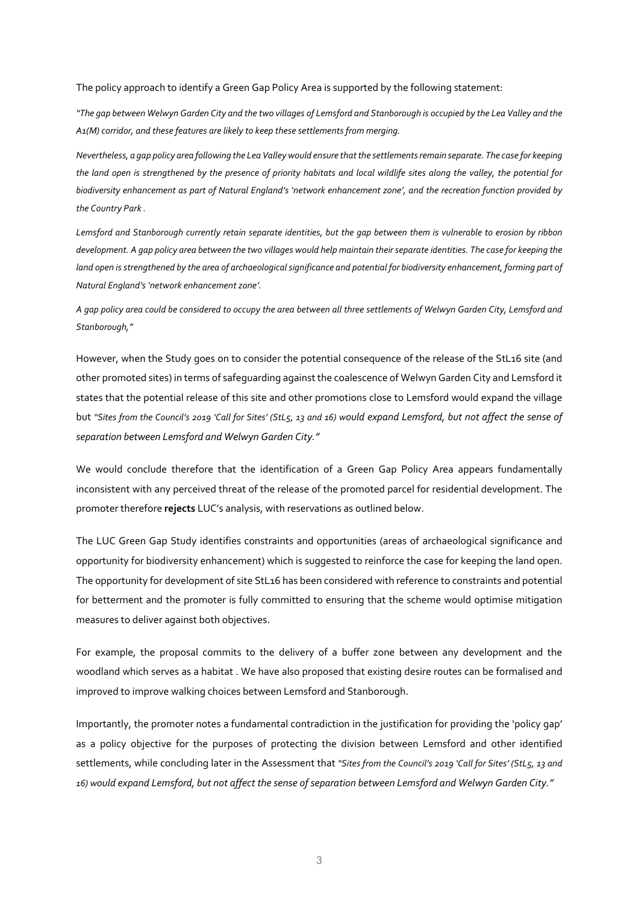The policy approach to identify a Green Gap Policy Area is supported by the following statement:

"The gap between Welwyn Garden City and the two villages of Lemsford and Stanborough is occupied by the Lea Valley and the *A1(M) corridor, and these features are likely to keep these settlements from merging.*

Nevertheless, a gap policy area following the Lea Valley would ensure that the settlements remain separate. The case for keeping the land open is strengthened by the presence of priority habitats and local wildlife sites along the valley, the potential for biodiversity enhancement as part of Natural England's 'network enhancement zone', and the recreation function provided by *the Country Park .*

Lemsford and Stanborough currently retain separate identities, but the gap between them is vulnerable to erosion by ribbon development. A gap policy area between the two villages would help maintain their separate identities. The case for keeping the land open is strengthened by the area of archaeological significance and potential for biodiversity enhancement, forming part of *Natural England's 'network enhancement zone'.*

A gap policy area could be considered to occupy the area between all three settlements of Welwyn Garden City, Lemsford and *Stanborough,"*

However, when the Study goes on to consider the potential consequence of the release of the StL16 site (and other promoted sites) in terms of safeguarding against the coalescence of Welwyn Garden City and Lemsford it states that the potential release of this site and other promotions close to Lemsford would expand the village but "Sites from the Council's 2019 'Call for Sites' (StL5, 13 and 16) would expand Lemsford, but not affect the sense of *separation between Lemsford and Welwyn Garden City."*

We would conclude therefore that the identification of a Green Gap Policy Area appears fundamentally inconsistent with any perceived threat of the release of the promoted parcel for residential development. The promoter therefore **rejects** LUC's analysis, with reservations as outlined below.

The LUC Green Gap Study identifies constraints and opportunities (areas of archaeological significance and opportunity for biodiversity enhancement) which is suggested to reinforce the case for keeping the land open. The opportunity for development of site StL16 has been considered with reference to constraints and potential for betterment and the promoter is fully committed to ensuring that the scheme would optimise mitigation measures to deliver against both objectives.

For example, the proposal commits to the delivery of a buffer zone between any development and the woodland which serves as a habitat . We have also proposed that existing desire routes can be formalised and improved to improve walking choices between Lemsford and Stanborough.

Importantly, the promoter notes a fundamental contradiction in the justification for providing the 'policy gap' as a policy objective for the purposes of protecting the division between Lemsford and other identified settlements, while concluding later in the Assessment that *"Sites from the Council's 2019 'Call for Sites' (StL5, 13 and* 16) would expand Lemsford, but not affect the sense of separation between Lemsford and Welwyn Garden City."